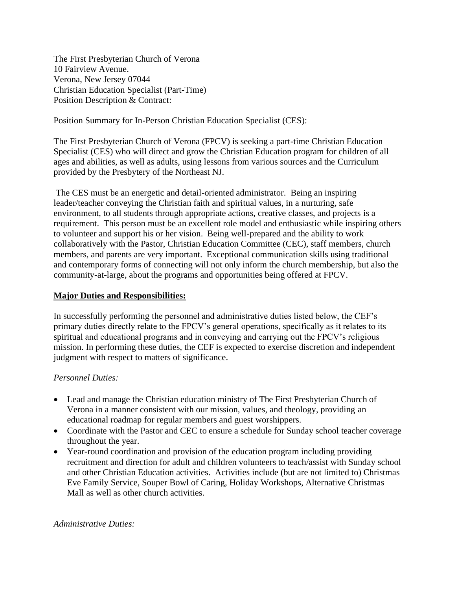The First Presbyterian Church of Verona 10 Fairview Avenue. Verona, New Jersey 07044 Christian Education Specialist (Part-Time) Position Description & Contract:

Position Summary for In-Person Christian Education Specialist (CES):

The First Presbyterian Church of Verona (FPCV) is seeking a part-time Christian Education Specialist (CES) who will direct and grow the Christian Education program for children of all ages and abilities, as well as adults, using lessons from various sources and the Curriculum provided by the Presbytery of the Northeast NJ.

The CES must be an energetic and detail-oriented administrator. Being an inspiring leader/teacher conveying the Christian faith and spiritual values, in a nurturing, safe environment, to all students through appropriate actions, creative classes, and projects is a requirement. This person must be an excellent role model and enthusiastic while inspiring others to volunteer and support his or her vision. Being well-prepared and the ability to work collaboratively with the Pastor, Christian Education Committee (CEC), staff members, church members, and parents are very important. Exceptional communication skills using traditional and contemporary forms of connecting will not only inform the church membership, but also the community-at-large, about the programs and opportunities being offered at FPCV.

#### **Major Duties and Responsibilities:**

In successfully performing the personnel and administrative duties listed below, the CEF's primary duties directly relate to the FPCV's general operations, specifically as it relates to its spiritual and educational programs and in conveying and carrying out the FPCV's religious mission. In performing these duties, the CEF is expected to exercise discretion and independent judgment with respect to matters of significance.

### *Personnel Duties:*

- Lead and manage the Christian education ministry of The First Presbyterian Church of Verona in a manner consistent with our mission, values, and theology, providing an educational roadmap for regular members and guest worshippers.
- Coordinate with the Pastor and CEC to ensure a schedule for Sunday school teacher coverage throughout the year.
- Year-round coordination and provision of the education program including providing recruitment and direction for adult and children volunteers to teach/assist with Sunday school and other Christian Education activities. Activities include (but are not limited to) Christmas Eve Family Service, Souper Bowl of Caring, Holiday Workshops, Alternative Christmas Mall as well as other church activities.

*Administrative Duties:*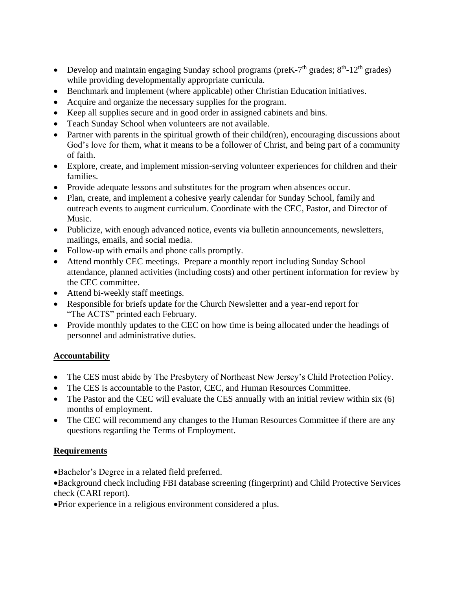- Develop and maintain engaging Sunday school programs (preK- $7<sup>th</sup>$  grades;  $8<sup>th</sup>$ -12<sup>th</sup> grades) while providing developmentally appropriate curricula.
- Benchmark and implement (where applicable) other Christian Education initiatives.
- Acquire and organize the necessary supplies for the program.
- Keep all supplies secure and in good order in assigned cabinets and bins.
- Teach Sunday School when volunteers are not available.
- Partner with parents in the spiritual growth of their child(ren), encouraging discussions about God's love for them, what it means to be a follower of Christ, and being part of a community of faith.
- Explore, create, and implement mission-serving volunteer experiences for children and their families.
- Provide adequate lessons and substitutes for the program when absences occur.
- Plan, create, and implement a cohesive yearly calendar for Sunday School, family and outreach events to augment curriculum. Coordinate with the CEC, Pastor, and Director of Music.
- Publicize, with enough advanced notice, events via bulletin announcements, newsletters, mailings, emails, and social media.
- Follow-up with emails and phone calls promptly.
- Attend monthly CEC meetings. Prepare a monthly report including Sunday School attendance, planned activities (including costs) and other pertinent information for review by the CEC committee.
- Attend bi-weekly staff meetings.
- Responsible for briefs update for the Church Newsletter and a year-end report for "The ACTS" printed each February.
- Provide monthly updates to the CEC on how time is being allocated under the headings of personnel and administrative duties.

# **Accountability**

- The CES must abide by The Presbytery of Northeast New Jersey's Child Protection Policy.
- The CES is accountable to the Pastor, CEC, and Human Resources Committee.
- The Pastor and the CEC will evaluate the CES annually with an initial review within six (6) months of employment.
- The CEC will recommend any changes to the Human Resources Committee if there are any questions regarding the Terms of Employment.

# **Requirements**

- •Bachelor's Degree in a related field preferred.
- •Background check including FBI database screening (fingerprint) and Child Protective Services check (CARI report).
- •Prior experience in a religious environment considered a plus.